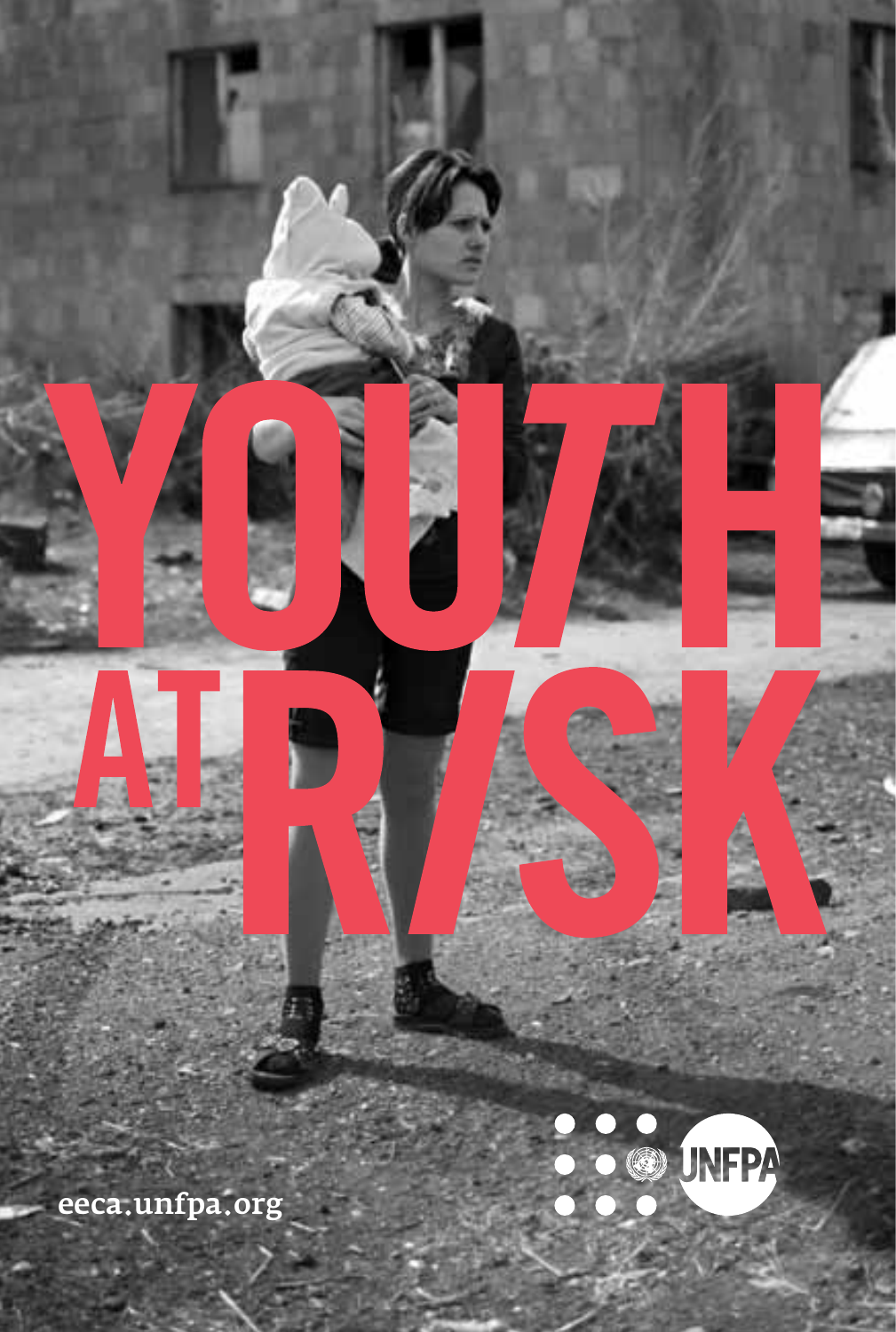

Ę

Ē

M

eeca.unfpa.org

P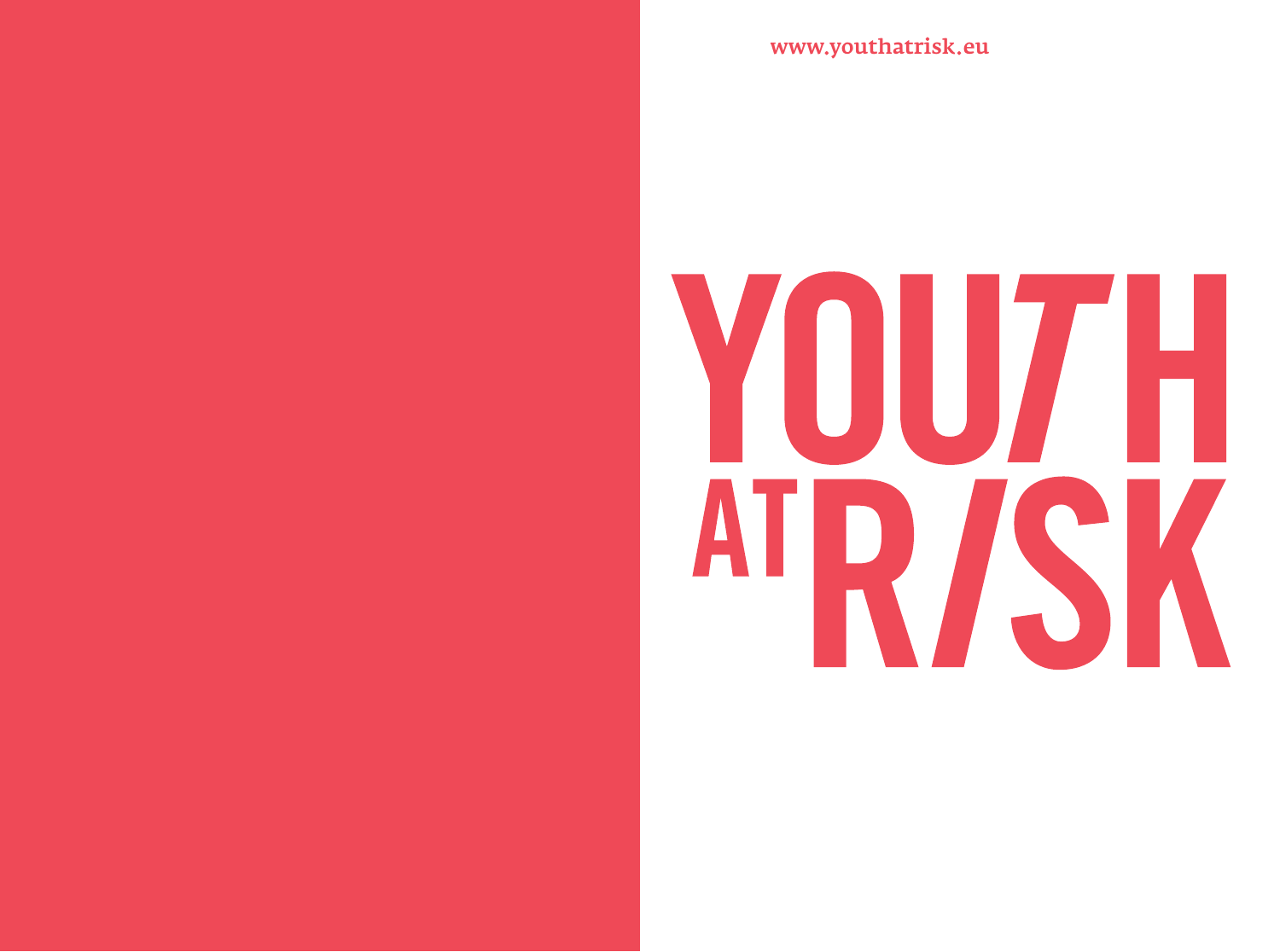www.youthatrisk.eu

# YOU7H ATRISK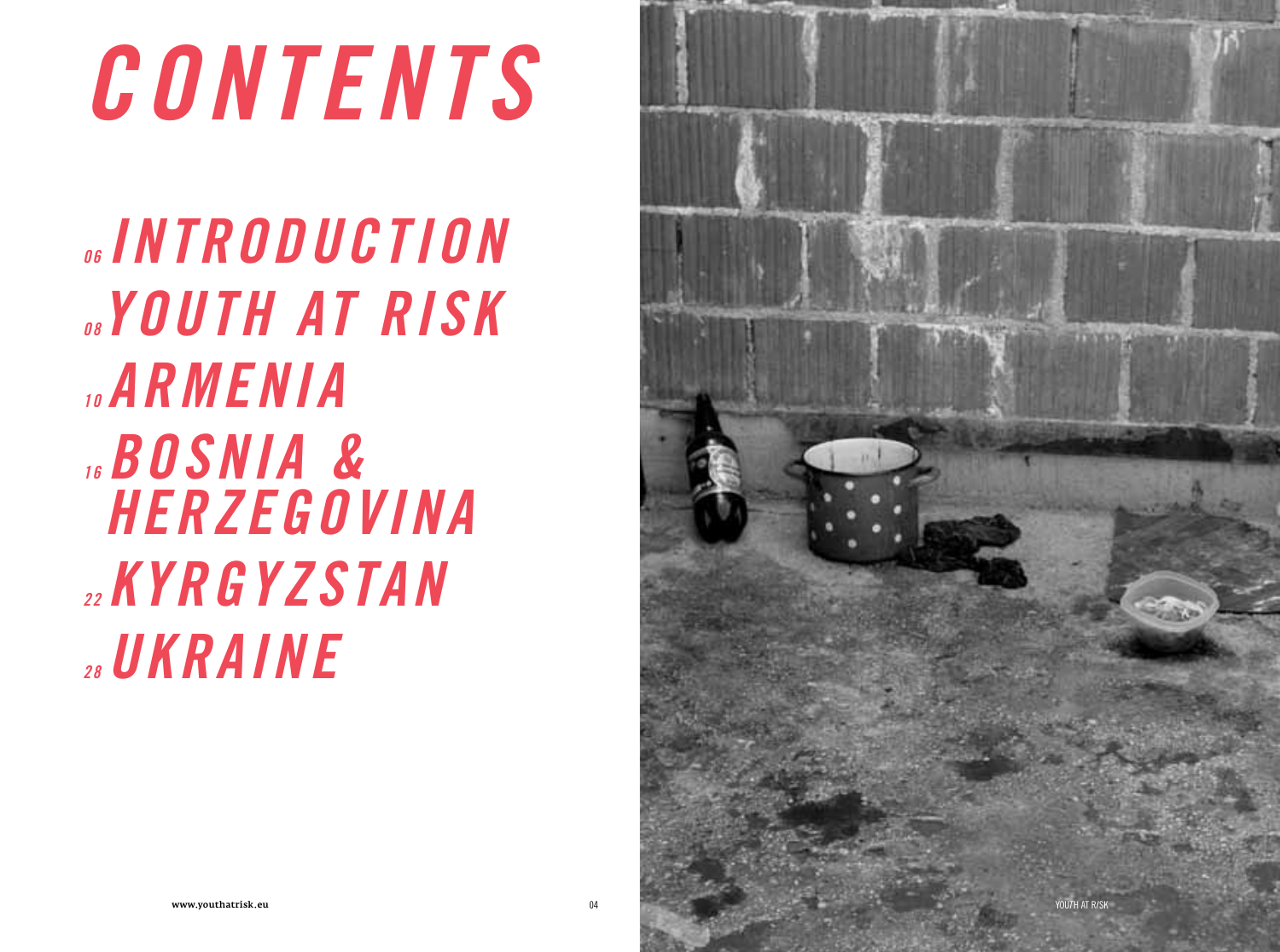## *CONTENTS*

*06 INTRODUCTION 08 YOUTH AT RISK 10 Armenia 16 BOSNIA & HERZEGOVINA 22 KYRGYzSTAN 28 UKRAINE*

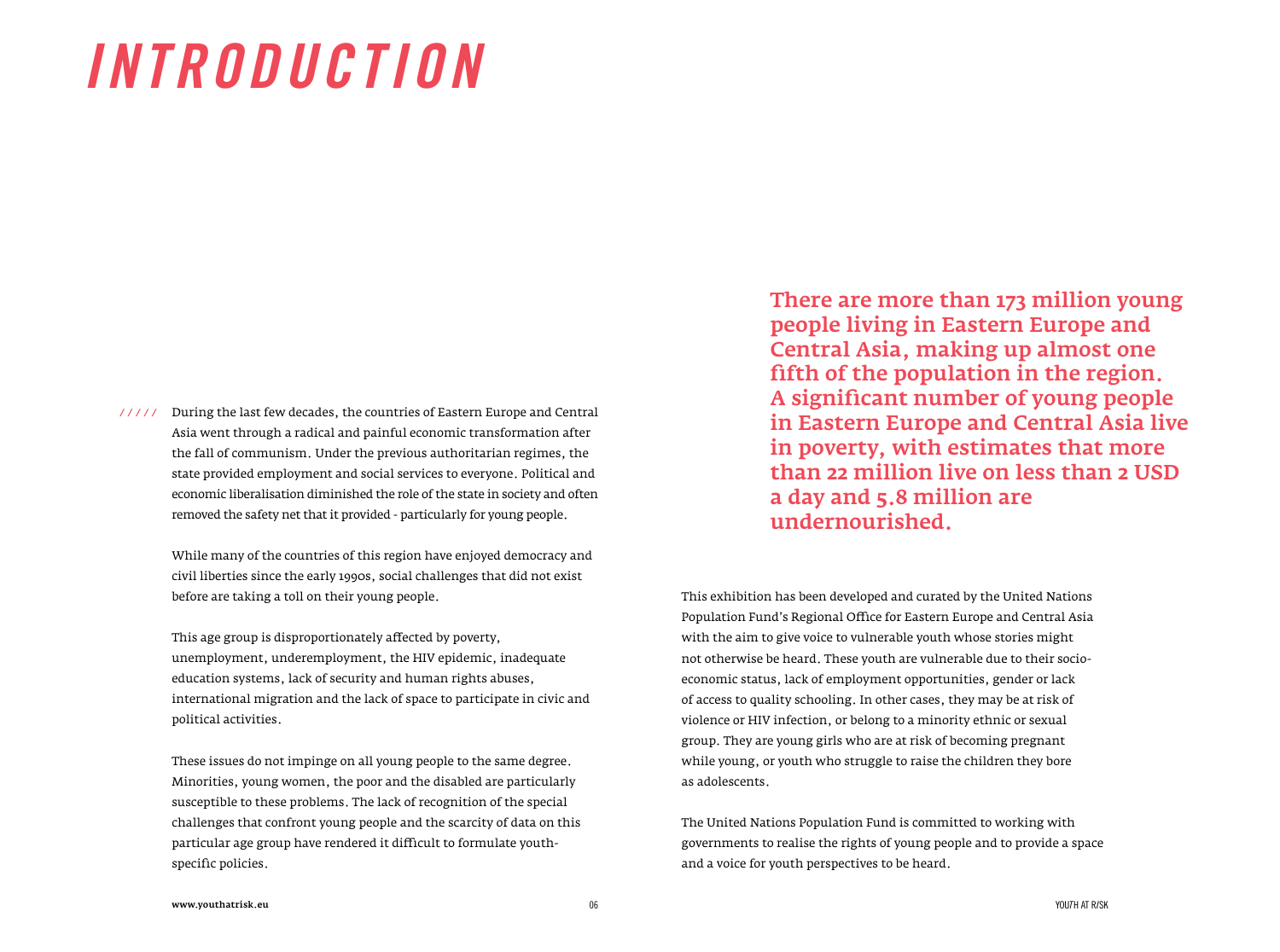### *INTRODUCTION*

///// During the last few decades, the countries of Eastern Europe and Central Asia went through a radical and painful economic transformation after the fall of communism. Under the previous authoritarian regimes, the state provided employment and social services to everyone. Political and economic liberalisation diminished the role of the state in society and often removed the safety net that it provided - particularly for young people.

> While many of the countries of this region have enjoyed democracy and civil liberties since the early 1990s, social challenges that did not exist before are taking a toll on their young people.

> This age group is disproportionately affected by poverty, unemployment, underemployment, the HIV epidemic, inadequate education systems, lack of security and human rights abuses, international migration and the lack of space to participate in civic and political activities.

These issues do not impinge on all young people to the same degree. Minorities, young women, the poor and the disabled are particularly susceptible to these problems. The lack of recognition of the special challenges that confront young people and the scarcity of data on this particular age group have rendered it difficult to formulate youthspecific policies.

There are more than 173 million young people living in Eastern Europe and Central Asia, making up almost one fifth of the population in the region. A significant number of young people in Eastern Europe and Central Asia live in poverty, with estimates that more than 22 million live on less than 2 USD a day and 5.8 million are undernourished.

This exhibition has been developed and curated by the United Nations Population Fund's Regional Office for Eastern Europe and Central Asia with the aim to give voice to vulnerable youth whose stories might not otherwise be heard. These youth are vulnerable due to their socioeconomic status, lack of employment opportunities, gender or lack of access to quality schooling. In other cases, they may be at risk of violence or HIV infection, or belong to a minority ethnic or sexual group. They are young girls who are at risk of becoming pregnant while young, or youth who struggle to raise the children they bore as adolescents.

The United Nations Population Fund is committed to working with governments to realise the rights of young people and to provide a space and a voice for youth perspectives to be heard.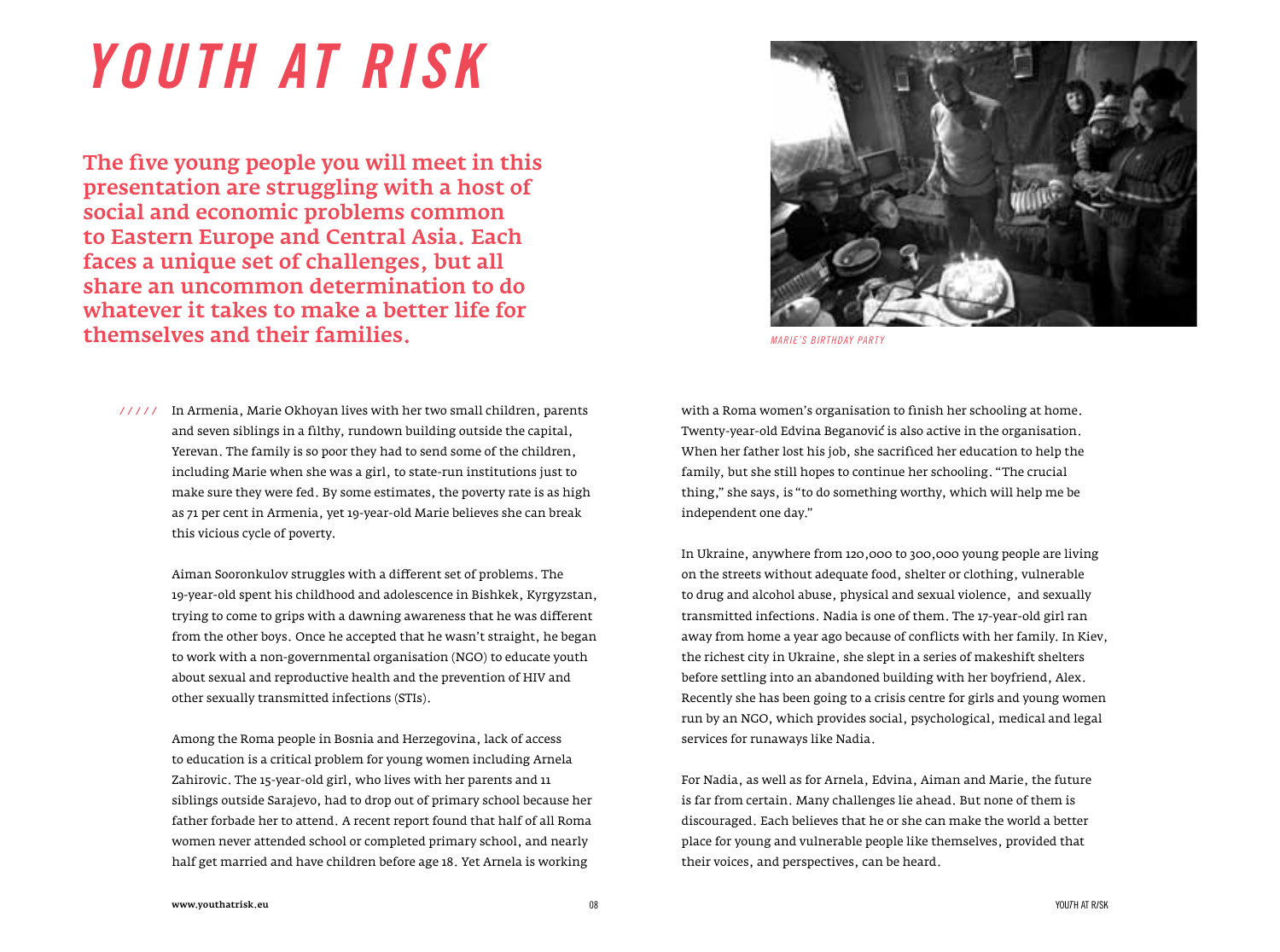### *YOUTH AT RISK*

The five young people you will meet in this presentation are struggling with a host of social and economic problems common to Eastern Europe and Central Asia. Each faces a unique set of challenges, but all share an uncommon determination to do whatever it takes to make a better life for themselves and their families. *MARIE'S BIRTHDAY PARTY*



///// In Armenia, Marie Okhoyan lives with her two small children, parents and seven siblings in a filthy, rundown building outside the capital, Yerevan. The family is so poor they had to send some of the children, including Marie when she was a girl, to state-run institutions just to make sure they were fed. By some estimates, the poverty rate is as high as 71 per cent in Armenia, yet 19-year-old Marie believes she can break this vicious cycle of poverty.

> Aiman Sooronkulov struggles with a different set of problems. The 19-year-old spent his childhood and adolescence in Bishkek, Kyrgyzstan, trying to come to grips with a dawning awareness that he was different from the other boys. Once he accepted that he wasn't straight, he began to work with a non-governmental organisation (NGO) to educate youth about sexual and reproductive health and the prevention of HIV and other sexually transmitted infections (STIs).

Among the Roma people in Bosnia and Herzegovina, lack of access to education is a critical problem for young women including Arnela Zahirovic. The 15-year-old girl, who lives with her parents and 11 siblings outside Sarajevo, had to drop out of primary school because her father forbade her to attend. A recent report found that half of all Roma women never attended school or completed primary school, and nearly half get married and have children before age 18. Yet Arnela is working

with a Roma women's organisation to finish her schooling at home. Twenty-year-old Edvina Beganovic is also active in the organisation. When her father lost his job, she sacrificed her education to help the family, but she still hopes to continue her schooling. "The crucial thing," she says, is "to do something worthy, which will help me be independent one day."

In Ukraine, anywhere from 120,000 to 300,000 young people are living on the streets without adequate food, shelter or clothing, vulnerable to drug and alcohol abuse, physical and sexual violence, and sexually transmitted infections. Nadia is one of them. The 17-year-old girl ran away from home a year ago because of conflicts with her family. In Kiev, the richest city in Ukraine, she slept in a series of makeshift shelters before settling into an abandoned building with her boyfriend, Alex. Recently she has been going to a crisis centre for girls and young women run by an NGO, which provides social, psychological, medical and legal services for runaways like Nadia.

For Nadia, as well as for Arnela, Edvina, Aiman and Marie, the future is far from certain. Many challenges lie ahead. But none of them is discouraged. Each believes that he or she can make the world a better place for young and vulnerable people like themselves, provided that their voices, and perspectives, can be heard.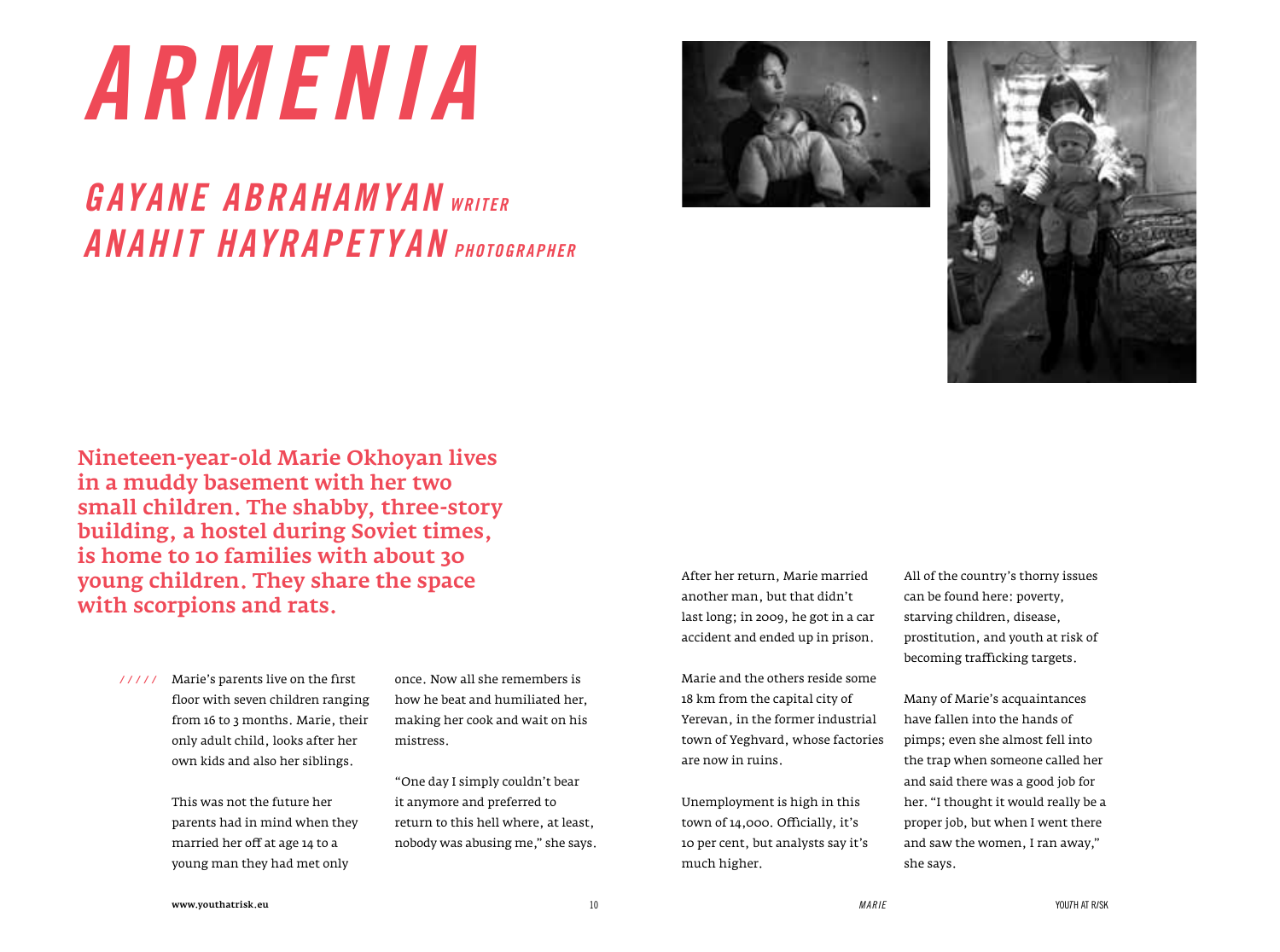### *ARMENIA*

#### *Gayane Abrahamyan writer Anahit Hayrapetyan PHOTOgrapher*





Nineteen-year-old Marie Okhoyan lives in a muddy basement with her two small children. The shabby, three-story building, a hostel during Soviet times, is home to 10 families with about 30 young children. They share the space with scorpions and rats.

Marie's parents live on the first  */ / / / /* floor with seven children ranging from 16 to 3 months. Marie, their only adult child, looks after her own kids and also her siblings.

> This was not the future her parents had in mind when they married her off at age 14 to a young man they had met only

once. Now all she remembers is how he beat and humiliated her, making her cook and wait on his mistress.

"One day I simply couldn't bear it anymore and preferred to return to this hell where, at least, nobody was abusing me," she says. After her return, Marie married another man, but that didn't last long; in 2009, he got in a car accident and ended up in prison.

Marie and the others reside some 18 km from the capital city of Yerevan, in the former industrial town of Yeghvard, whose factories are now in ruins.

Unemployment is high in this town of 14,000. Officially, it's 10 per cent, but analysts say it's much higher.

All of the country's thorny issues can be found here: poverty, starving children, disease, prostitution, and youth at risk of becoming trafficking targets.

Many of Marie's acquaintances have fallen into the hands of pimps; even she almost fell into the trap when someone called her and said there was a good job for her. "I thought it would really be a proper job, but when I went there and saw the women, I ran away," she says.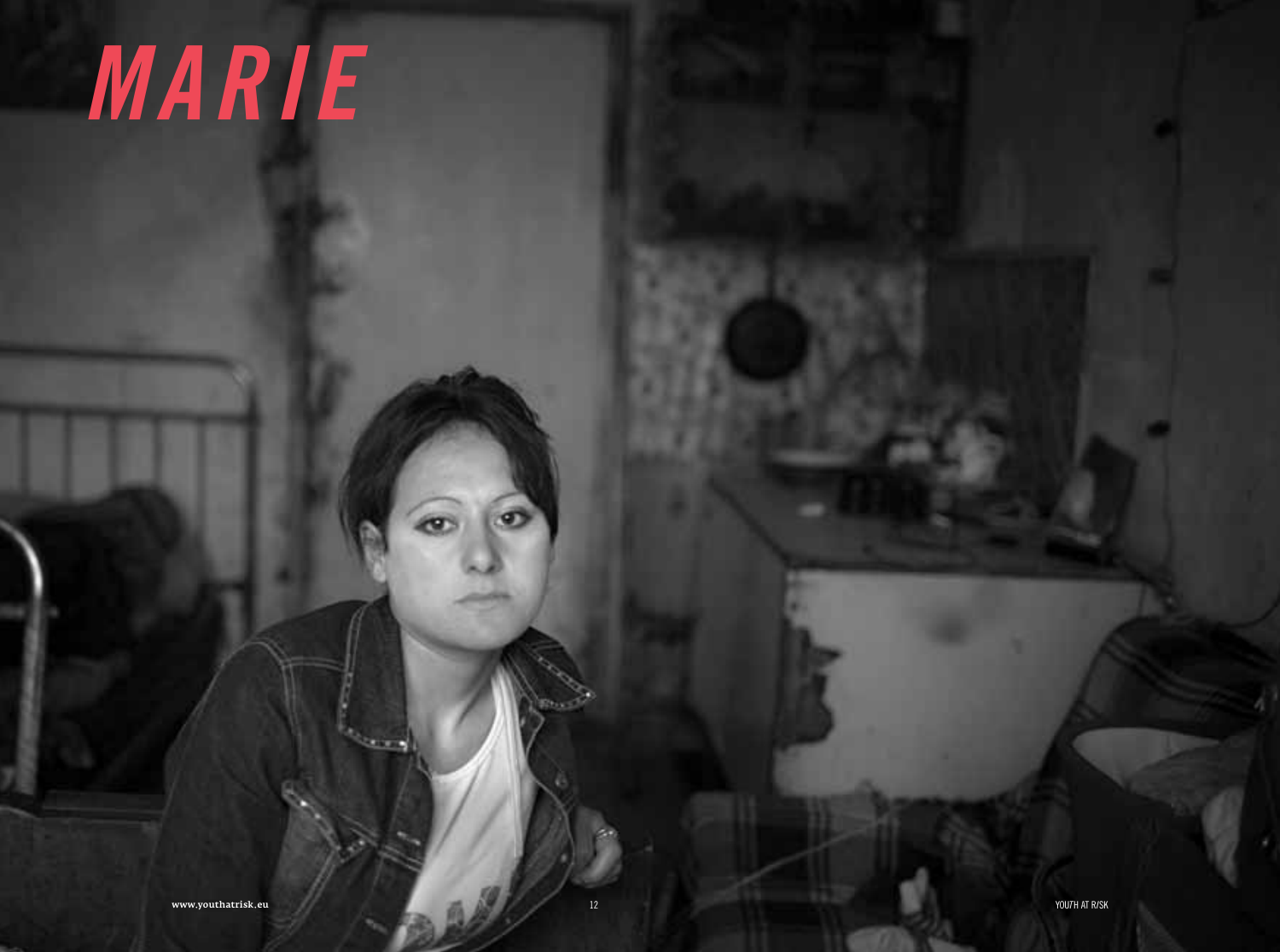### MARIE

 $\bullet$ 

 $12$ 

æ

**START**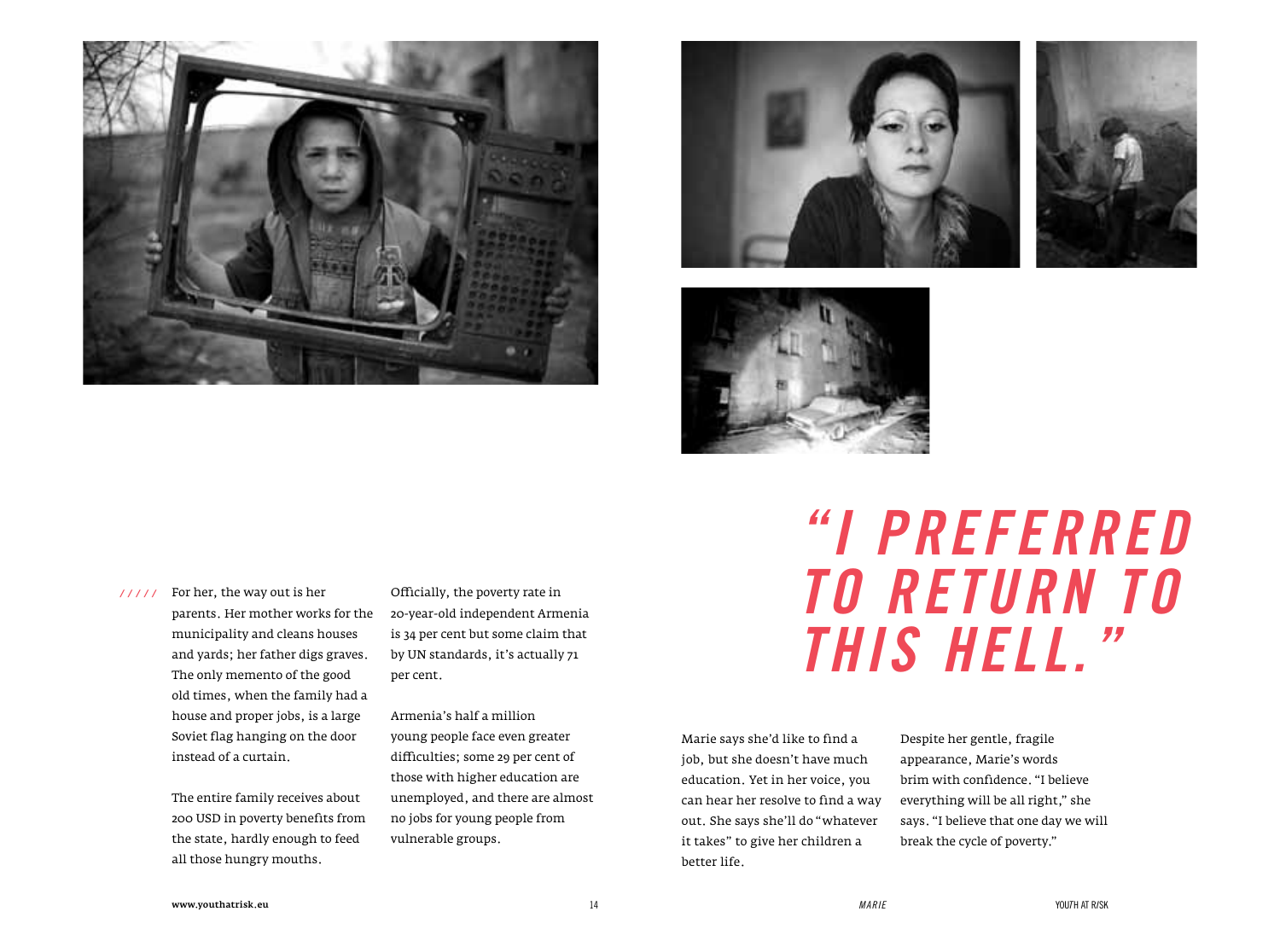







 */ / / / /* For her, the way out is her parents. Her mother works for the municipality and cleans houses and yards; her father digs graves. The only memento of the good old times, when the family had a house and proper jobs, is a large Soviet flag hanging on the door instead of a curtain.

> The entire family receives about 200 USD in poverty benefits from the state, hardly enough to feed all those hungry mouths.

Officially, the poverty rate in 20-year-old independent Armenia is 34 per cent but some claim that by UN standards, it's actually 71 per cent.

Armenia's half a million young people face even greater difficulties; some 29 per cent of those with higher education are unemployed, and there are almost no jobs for young people from vulnerable groups.

### *"I preferred to return to this hell."*

Marie says she'd like to find a job, but she doesn't have much education. Yet in her voice, you can hear her resolve to find a way out. She says she'll do "whatever it takes" to give her children a better life.

Despite her gentle, fragile appearance, Marie's words brim with confidence. "I believe everything will be all right," she says. "I believe that one day we will break the cycle of poverty."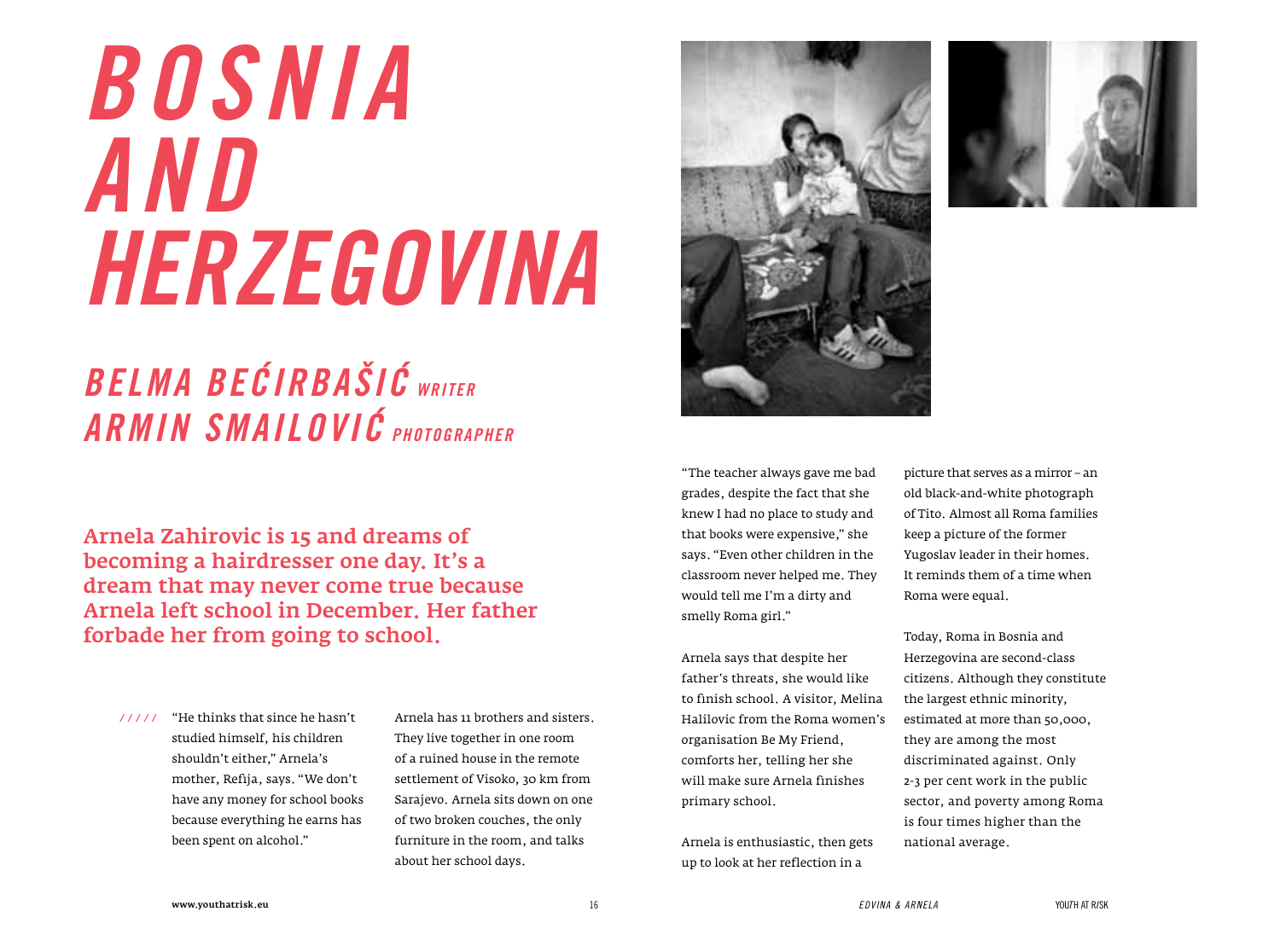# *Bosnia Herzegovina*

#### *Belma Becirbašic writer Armin Smailovic PHOTOgrapher*

Arnela Zahirovic is 15 and dreams of becoming a hairdresser one day. It's a dream that may never come true because Arnela left school in December. Her father forbade her from going to school.

"He thinks that since he hasn't  */ / / / /* studied himself, his children shouldn't either," Arnela's mother, Refija, says. "We don't have any money for school books because everything he earns has been spent on alcohol."

Arnela has 11 brothers and sisters. They live together in one room of a ruined house in the remote settlement of Visoko, 30 km from Sarajevo. Arnela sits down on one of two broken couches, the only furniture in the room, and talks about her school days.





"The teacher always gave me bad grades, despite the fact that she knew I had no place to study and that books were expensive," she says. "Even other children in the classroom never helped me. They would tell me I'm a dirty and smelly Roma girl."

Arnela says that despite her father's threats, she would like to finish school. A visitor, Melina Halilovic from the Roma women's organisation Be My Friend, comforts her, telling her she will make sure Arnela finishes primary school.

Arnela is enthusiastic, then gets up to look at her reflection in a

picture that serves as a mirror – an old black-and-white photograph of Tito. Almost all Roma families keep a picture of the former Yugoslav leader in their homes. It reminds them of a time when Roma were equal.

Today, Roma in Bosnia and Herzegovina are second-class citizens. Although they constitute the largest ethnic minority, estimated at more than 50,000, they are among the most discriminated against. Only 2-3 per cent work in the public sector, and poverty among Roma is four times higher than the national average.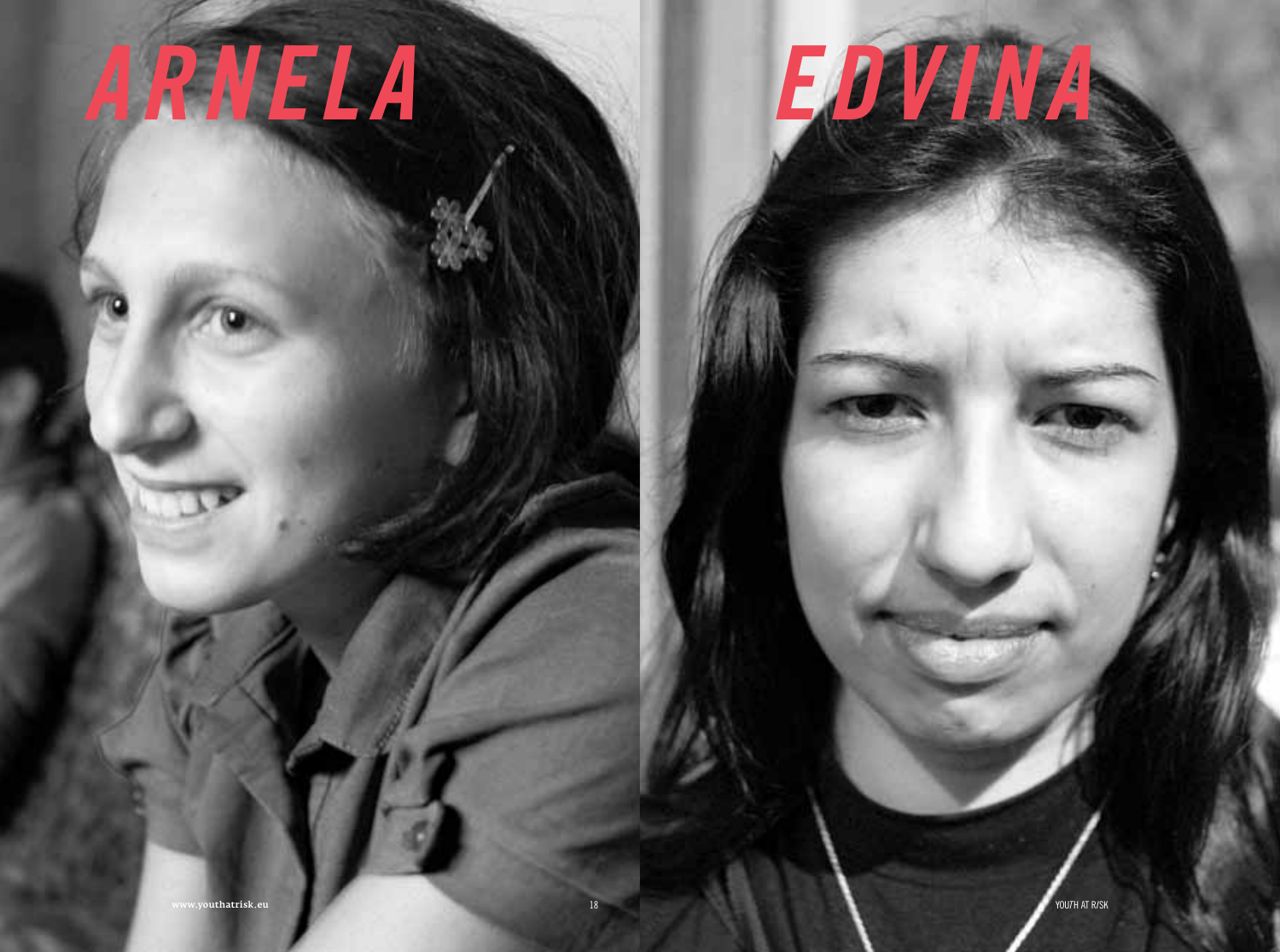### ARNELA



18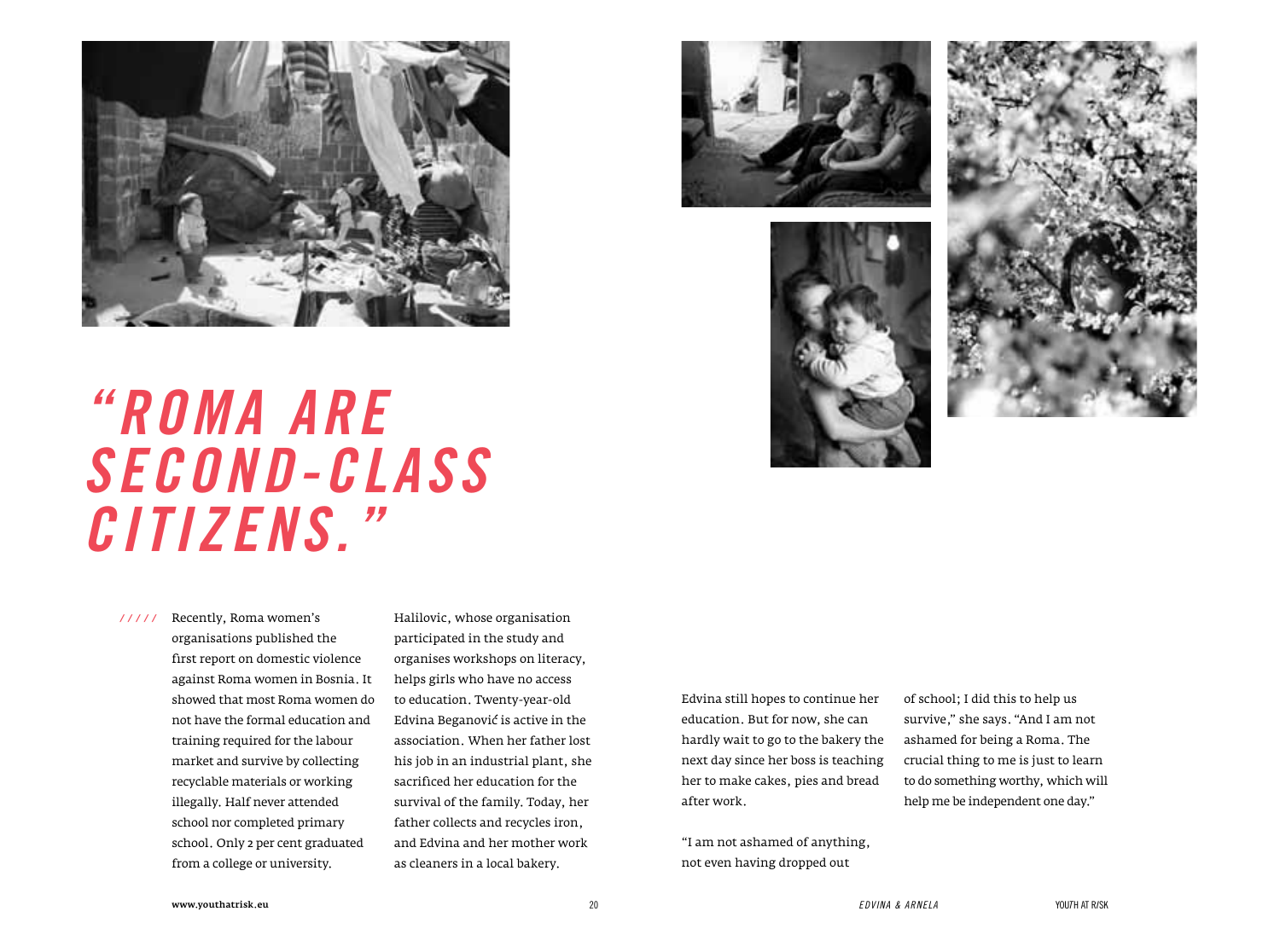







### *"Roma are second-class citizens."*

 */ / / / /* Recently, Roma women's organisations published the first report on domestic violence against Roma women in Bosnia. It showed that most Roma women do not have the formal education and training required for the labour market and survive by collecting recyclable materials or working illegally. Half never attended school nor completed primary school. Only 2 per cent graduated from a college or university.

Halilovic, whose organisation participated in the study and organises workshops on literacy, helps girls who have no access to education. Twenty-year-old Edvina Beganovic is active in the association. When her father lost his job in an industrial plant, she sacrificed her education for the survival of the family. Today, her father collects and recycles iron, and Edvina and her mother work as cleaners in a local bakery.



"I am not ashamed of anything, not even having dropped out

of school; I did this to help us survive," she says. "And I am not ashamed for being a Roma. The crucial thing to me is just to learn to do something worthy, which will help me be independent one day."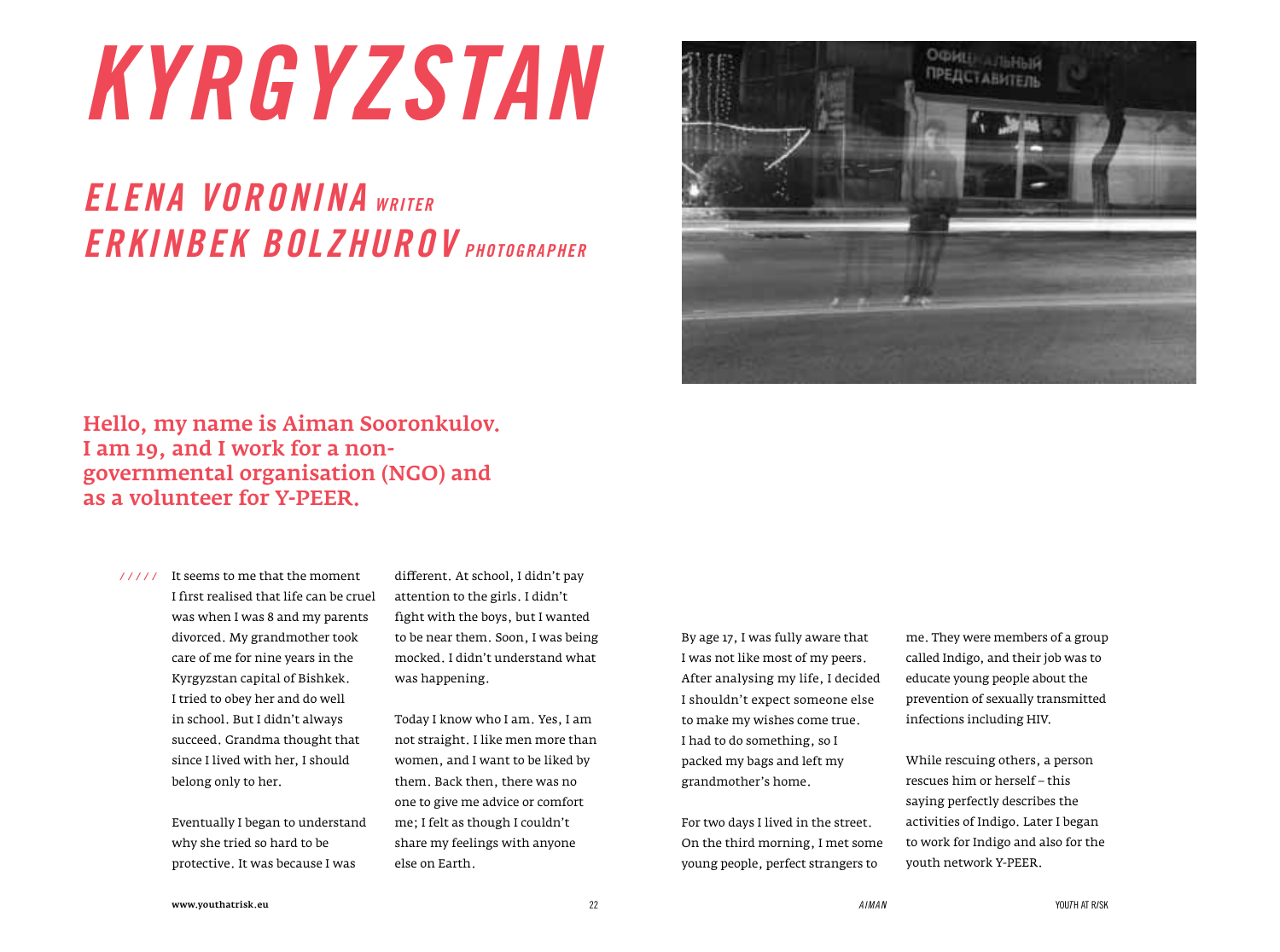### *Kyrgyzstan*

#### *Elena Voronina writer Erkinbek Bolzhurov PHOTOgrapher*



#### Hello, my name is Aiman Sooronkulov. I am 19, and I work for a nongovernmental organisation (NGO) and as a volunteer for Y-PEER.

It seems to me that the moment  */ / / / /* I first realised that life can be cruel was when I was 8 and my parents divorced. My grandmother took care of me for nine years in the Kyrgyzstan capital of Bishkek. I tried to obey her and do well in school. But I didn't always succeed. Grandma thought that since I lived with her, I should belong only to her.

> Eventually I began to understand why she tried so hard to be protective. It was because I was

different. At school, I didn't pay attention to the girls. I didn't fight with the boys, but I wanted to be near them. Soon, I was being mocked. I didn't understand what was happening.

Today I know who I am. Yes, I am not straight. I like men more than women, and I want to be liked by them. Back then, there was no one to give me advice or comfort me; I felt as though I couldn't share my feelings with anyone else on Earth.

By age 17, I was fully aware that I was not like most of my peers. After analysing my life, I decided I shouldn't expect someone else to make my wishes come true. I had to do something, so I packed my bags and left my grandmother's home.

For two days I lived in the street. On the third morning, I met some young people, perfect strangers to

me. They were members of a group called Indigo, and their job was to educate young people about the prevention of sexually transmitted infections including HIV.

While rescuing others, a person rescues him or herself – this saying perfectly describes the activities of Indigo. Later I began to work for Indigo and also for the youth network Y-PEER.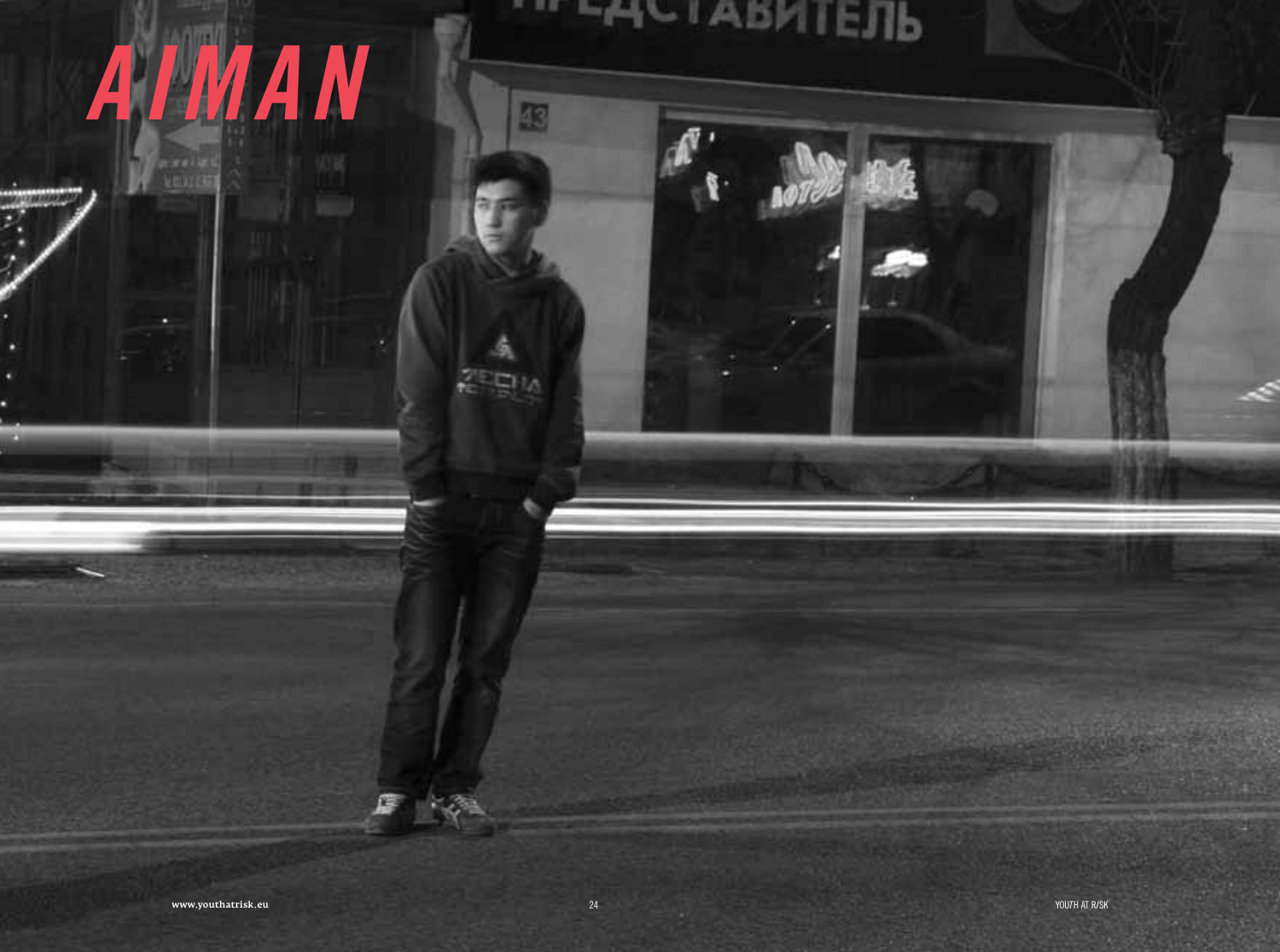# AIMAN

**ABILITIE** 

**STATISTICS** 

图

⊑⊦ι∧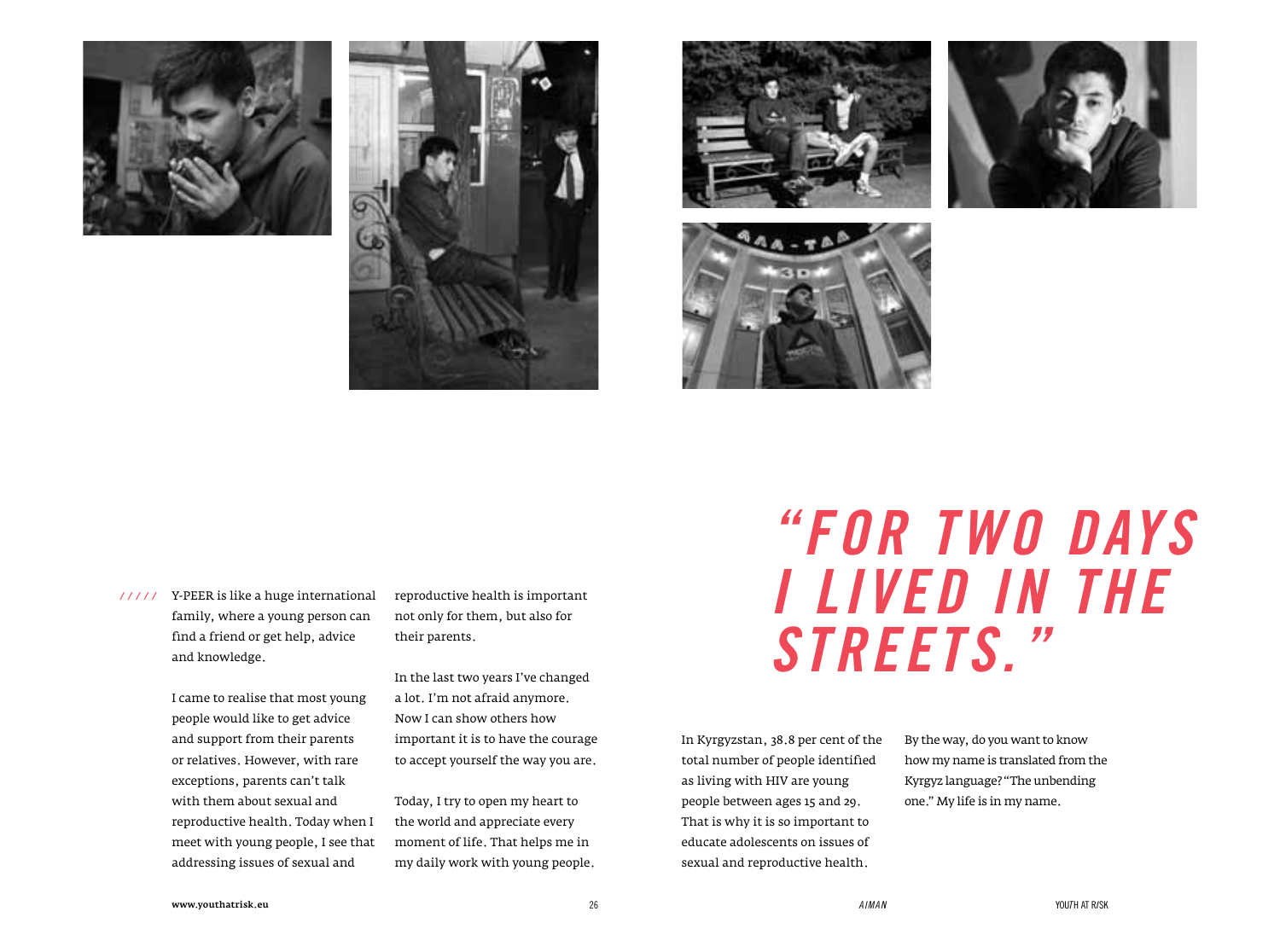









 */ / / / /* Y-PEER is like a huge international family, where a young person can find a friend or get help, advice and knowledge.

> I came to realise that most young people would like to get advice and support from their parents or relatives. However, with rare exceptions, parents can't talk with them about sexual and reproductive health. Today when I meet with young people, I see that addressing issues of sexual and

reproductive health is important not only for them, but also for their parents.

In the last two years I've changed a lot. I'm not afraid anymore. Now I can show others how important it is to have the courage to accept yourself the way you are.

Today, I try to open my heart to the world and appreciate every moment of life. That helps me in my daily work with young people.

### *"For two days i lived in the streets."*

In Kyrgyzstan, 38.8 per cent of the total number of people identified as living with HIV are young people between ages 15 and 29. That is why it is so important to educate adolescents on issues of sexual and reproductive health.

By the way, do you want to know how my name is translated from the Kyrgyz language? "The unbending one." My life is in my name.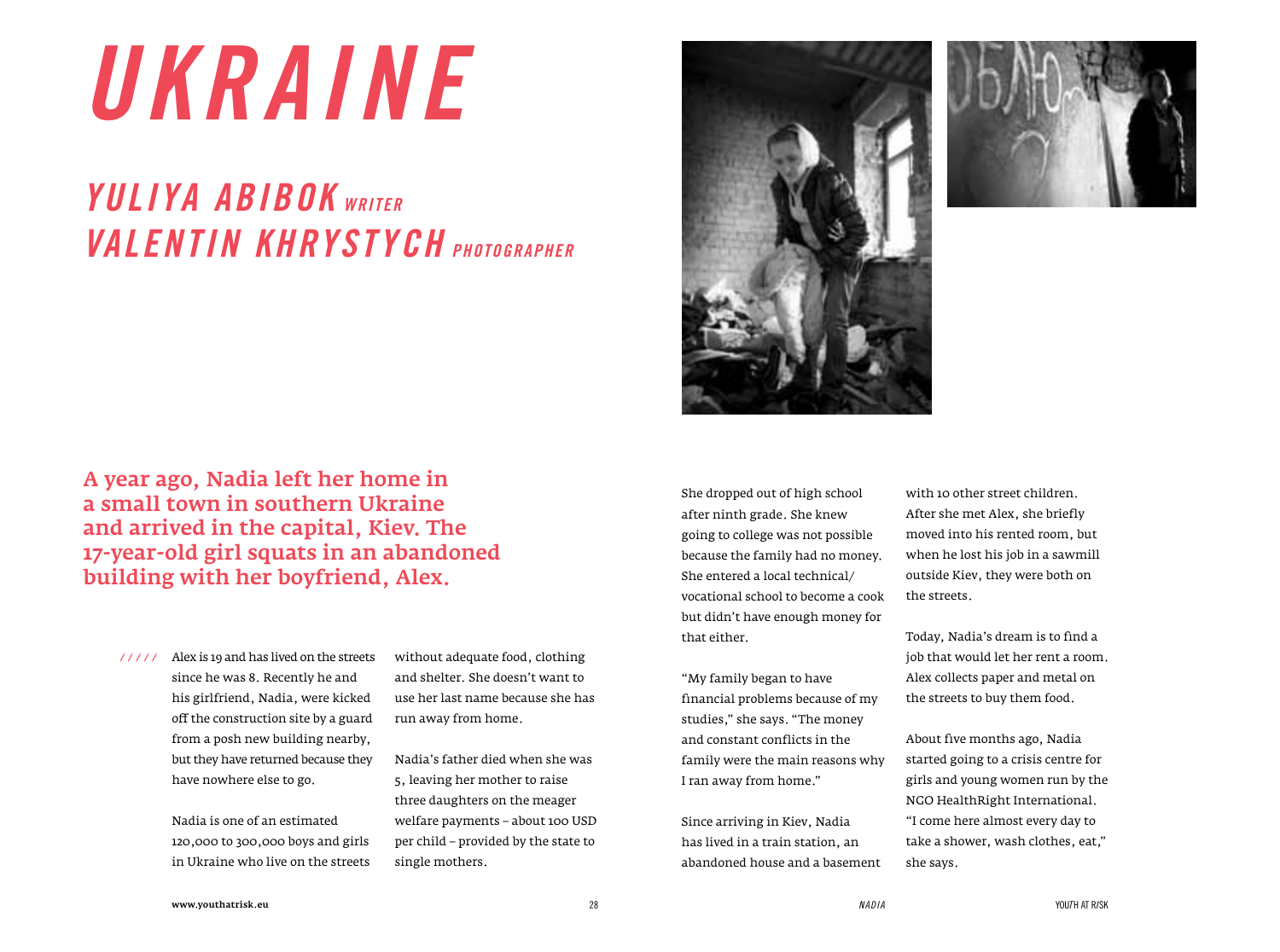### *UKRAINE*

#### *Yuliya Abibok writer Valentin Khrystych PHOTOgrapher*

A year ago, Nadia left her home in a small town in southern Ukraine and arrived in the capital, Kiev. The 17-year-old girl squats in an abandoned building with her boyfriend, Alex.

Alex is 19 and has lived on the streets  */ / / / /* since he was 8. Recently he and his girlfriend, Nadia, were kicked off the construction site by a guard from a posh new building nearby, but they have returned because they have nowhere else to go.

> Nadia is one of an estimated 120,000 to 300,000 boys and girls in Ukraine who live on the streets

without adequate food, clothing and shelter. She doesn't want to use her last name because she has run away from home.

Nadia's father died when she was 5, leaving her mother to raise three daughters on the meager welfare payments – about 100 USD per child – provided by the state to single mothers.





She dropped out of high school after ninth grade. She knew going to college was not possible because the family had no money. She entered a local technical/ vocational school to become a cook but didn't have enough money for that either.

"My family began to have financial problems because of my studies," she says. "The money and constant conflicts in the family were the main reasons why I ran away from home."

Since arriving in Kiev, Nadia has lived in a train station, an abandoned house and a basement with 10 other street children. After she met Alex, she briefly moved into his rented room, but when he lost his job in a sawmill outside Kiev, they were both on the streets.

Today, Nadia's dream is to find a job that would let her rent a room. Alex collects paper and metal on the streets to buy them food.

About five months ago, Nadia started going to a crisis centre for girls and young women run by the NGO HealthRight International. "I come here almost every day to take a shower, wash clothes, eat," she says.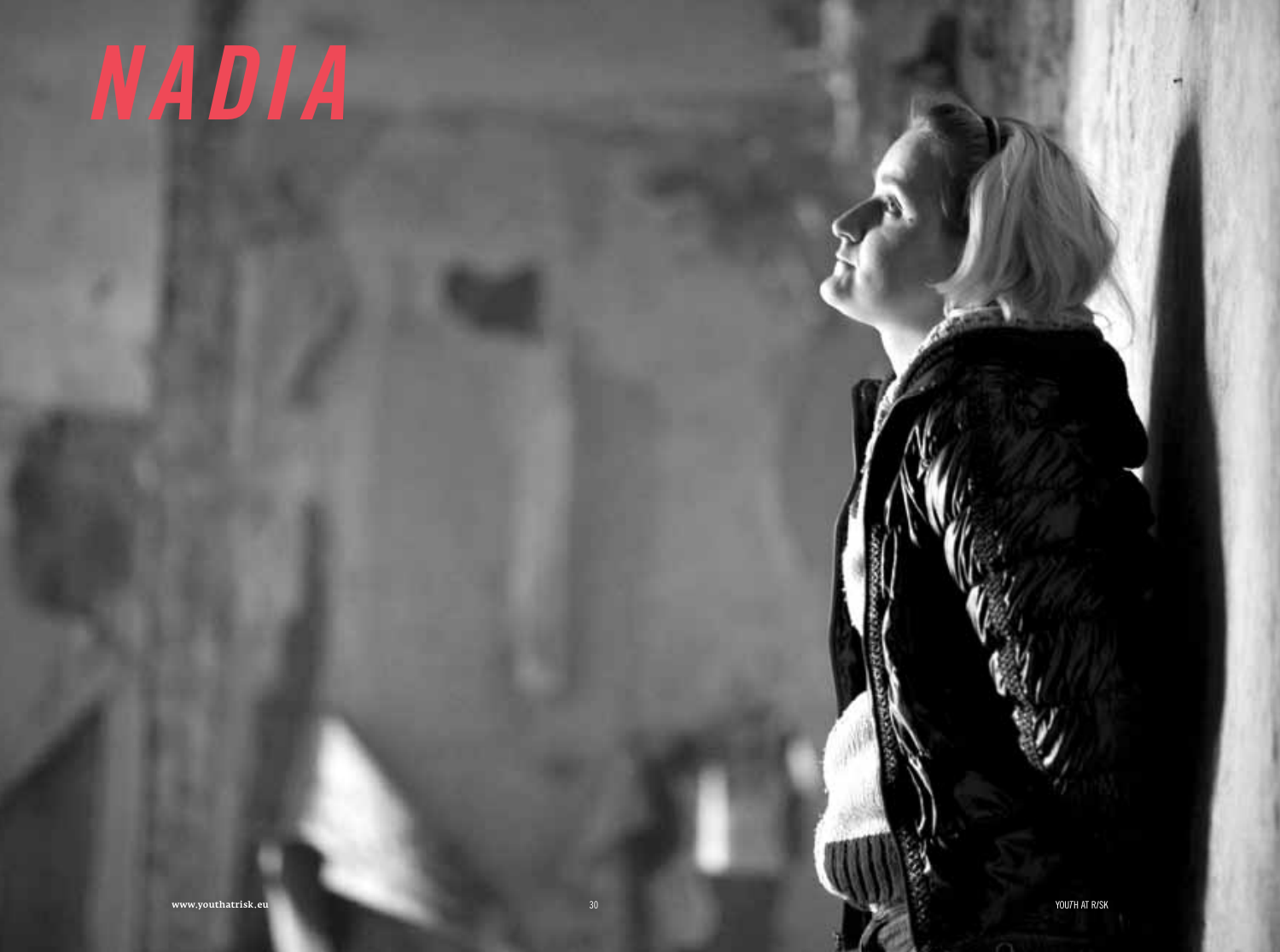# NADIA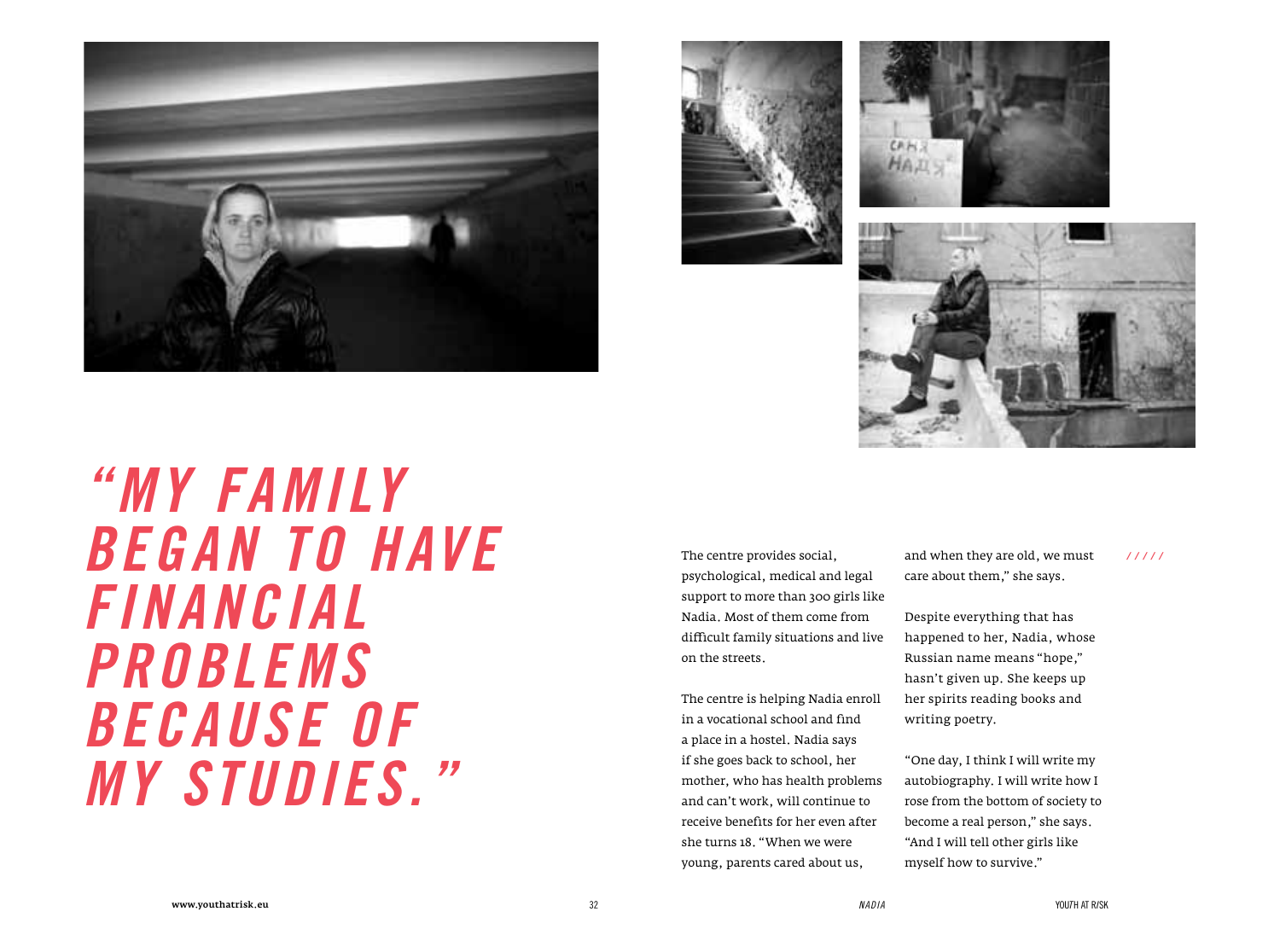







*"My family began to have financial problems because of my studies."*

The centre provides social, psychological, medical and legal support to more than 300 girls like Nadia. Most of them come from difficult family situations and live on the streets.

The centre is helping Nadia enroll in a vocational school and find a place in a hostel. Nadia says if she goes back to school, her mother, who has health problems and can't work, will continue to receive benefits for her even after she turns 18. "When we were young, parents cared about us,

and when they are old, we must care about them," she says.  */ / / / /*

Despite everything that has happened to her, Nadia, whose Russian name means "hope," hasn't given up. She keeps up her spirits reading books and writing poetry.

"One day, I think I will write my autobiography. I will write how I rose from the bottom of society to become a real person," she says. "And I will tell other girls like myself how to survive."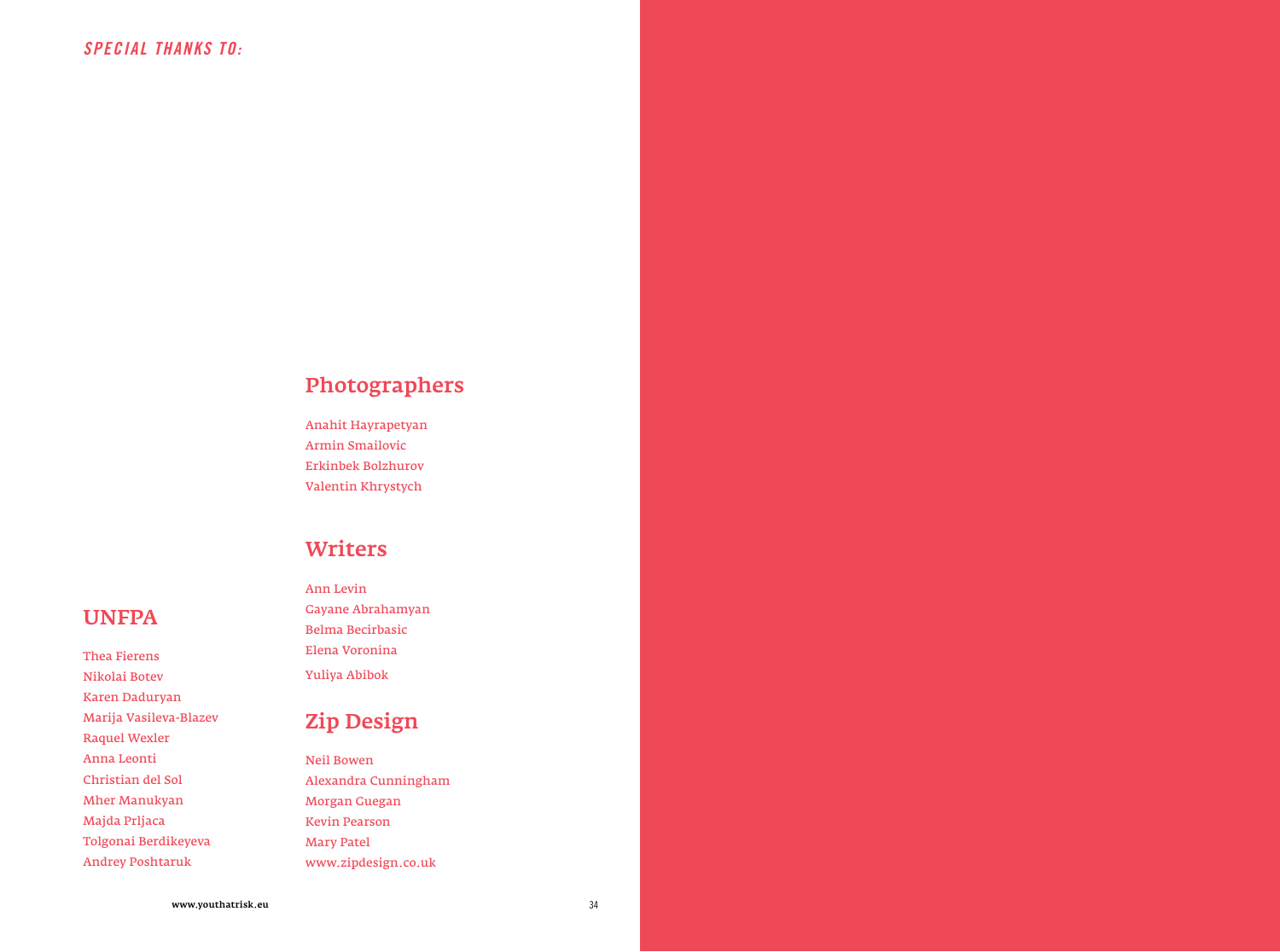UNFPA

Thea Fierens Nikolai Botev Karen Daduryan Marija Vasileva-Blazev

Raquel Wexler Anna Leonti Christian del Sol Mher Manukyan Majda Prljaca

Tolgonai Berdikeyeva Andrey Poshtaruk

#### Photographers

Anahit Hayrapetyan Armin Smailovic Erkinbek Bolzhurov Valentin Khrystych

#### **Writers**

Ann Levin Gayane Abrahamyan Belma Becirbasic Elena Voronina Yuliya Abibok

#### Zip Design

Neil Bowen Alexandra Cunningham Morgan Guegan Kevin Pearson Mary Patel www.zipdesign.co.uk